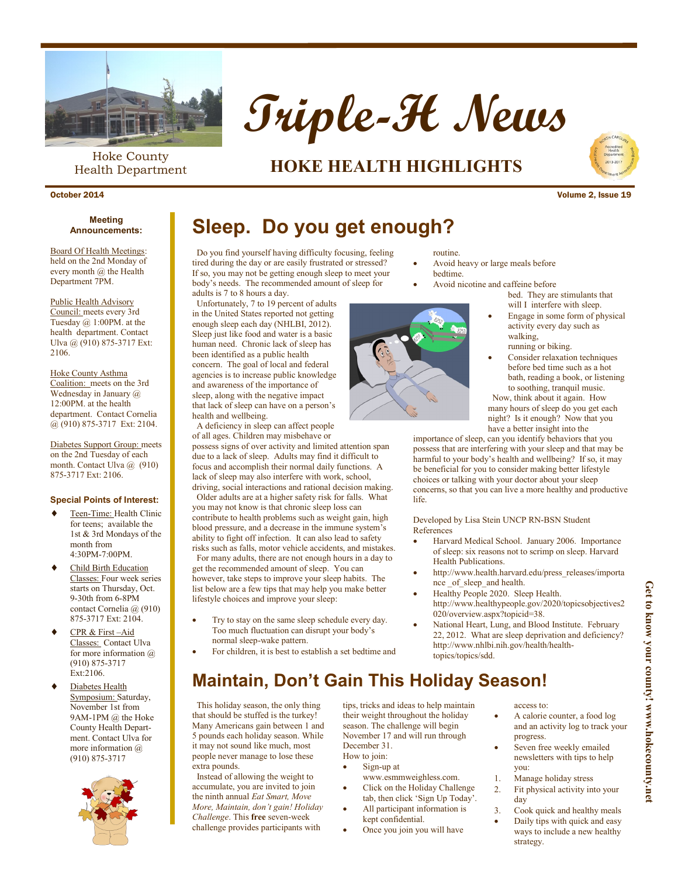

Hoke County Health Department



### **HOKE HEALTH HIGHLIGHTS**



October 2014 Volume 2, Issue 19

### **Announcements:**

Board Of Health Meetings: held on the 2nd Monday of every month @ the Health Department 7PM.

#### Public Health Advisory

Council: meets every 3rd Tuesday @ 1:00PM. at the health department. Contact Ulva @ (910) 875-3717 Ext: 2106.

#### Hoke County Asthma

Coalition: meets on the 3rd Wednesday in January @ 12:00PM. at the health department. Contact Cornelia @ (910) 875-3717 Ext: 2104.

Diabetes Support Group: meets on the 2nd Tuesday of each month. Contact Ulva @ (910) 875-3717 Ext: 2106.

#### **Special Points of Interest:**

- Teen-Time: Health Clinic for teens; available the 1st & 3rd Mondays of the month from 4:30PM-7:00PM.
- Child Birth Education Classes: Four week series starts on Thursday, Oct. 9-30th from 6-8PM contact Cornelia @ (910) 875-3717 Ext: 2104.
- CPR & First –Aid Classes: Contact Ulva for more information  $\omega$ (910) 875-3717 Ext:2106.
- Diabetes Health Symposium: Saturday, November 1st from 9AM-1PM @ the Hoke County Health Department. Contact Ulva for more information @ (910) 875-3717



# **Meeting Concernents:** Sleep. Do you get enough?

 Do you find yourself having difficulty focusing, feeling tired during the day or are easily frustrated or stressed? If so, you may not be getting enough sleep to meet your body's needs. The recommended amount of sleep for adults is 7 to 8 hours a day.

 Unfortunately, 7 to 19 percent of adults in the United States reported not getting enough sleep each day (NHLBI, 2012). Sleep just like food and water is a basic human need. Chronic lack of sleep has been identified as a public health concern. The goal of local and federal agencies is to increase public knowledge and awareness of the importance of sleep, along with the negative impact that lack of sleep can have on a person's health and wellbeing.

 A deficiency in sleep can affect people of all ages. Children may misbehave or possess signs of over activity and limited attention span due to a lack of sleep. Adults may find it difficult to focus and accomplish their normal daily functions. A

lack of sleep may also interfere with work, school, driving, social interactions and rational decision making. Older adults are at a higher safety risk for falls. What you may not know is that chronic sleep loss can contribute to health problems such as weight gain, high

blood pressure, and a decrease in the immune system's ability to fight off infection. It can also lead to safety risks such as falls, motor vehicle accidents, and mistakes. For many adults, there are not enough hours in a day to

get the recommended amount of sleep. You can however, take steps to improve your sleep habits. The list below are a few tips that may help you make better lifestyle choices and improve your sleep:

- Try to stay on the same sleep schedule every day. Too much fluctuation can disrupt your body's normal sleep-wake pattern.
- For children, it is best to establish a set bedtime and



- Avoid heavy or large meals before bedtime.
- Avoid nicotine and caffeine before
	- bed. They are stimulants that will I interfere with sleep.
	- Engage in some form of physical activity every day such as walking, running or biking.
	- Consider relaxation techniques before bed time such as a hot bath, reading a book, or listening to soothing, tranquil music.

 Now, think about it again. How many hours of sleep do you get each night? Is it enough? Now that you have a better insight into the

importance of sleep, can you identify behaviors that you possess that are interfering with your sleep and that may be harmful to your body's health and wellbeing? If so, it may be beneficial for you to consider making better lifestyle choices or talking with your doctor about your sleep concerns, so that you can live a more healthy and productive life.

Developed by Lisa Stein UNCP RN-BSN Student References

- Harvard Medical School. January 2006. Importance of sleep: six reasons not to scrimp on sleep. Harvard Health Publications.
- http://www.health.harvard.edu/press\_releases/importa nce of sleep and health.
- Healthy People 2020. Sleep Health. http://www.healthypeople.gov/2020/topicsobjectives2 020/overview.aspx?topicid=38.
- National Heart, Lung, and Blood Institute. February 22, 2012. What are sleep deprivation and deficiency? http://www.nhlbi.nih.gov/health/healthtopics/topics/sdd.

### **Maintain, Don't Gain This Holiday Season!**

 This holiday season, the only thing that should be stuffed is the turkey! Many Americans gain between 1 and 5 pounds each holiday season. While it may not sound like much, most people never manage to lose these extra pounds.

 Instead of allowing the weight to accumulate, you are invited to join the ninth annual *Eat Smart, Move More, Maintain, don't gain! Holiday Challenge*. This **free** seven-week challenge provides participants with

tips, tricks and ideas to help maintain their weight throughout the holiday season. The challenge will begin November 17 and will run through December 31. How to join:

- Sign-up at
- www.esmmweighless.com. Click on the Holiday Challenge
- tab, then click 'Sign Up Today'. All participant information is
- kept confidential.
	- Once you join you will have
- access to:
- A calorie counter, a food log and an activity log to track your progress.

Get to know your county! www.hokecounty.net **Get to know your county! www.hokecounty.net**

- Seven free weekly emailed newsletters with tips to help you:
- 1. Manage holiday stress
- 2. Fit physical activity into your day
- Cook quick and healthy meals
- Daily tips with quick and easy ways to include a new healthy strategy.